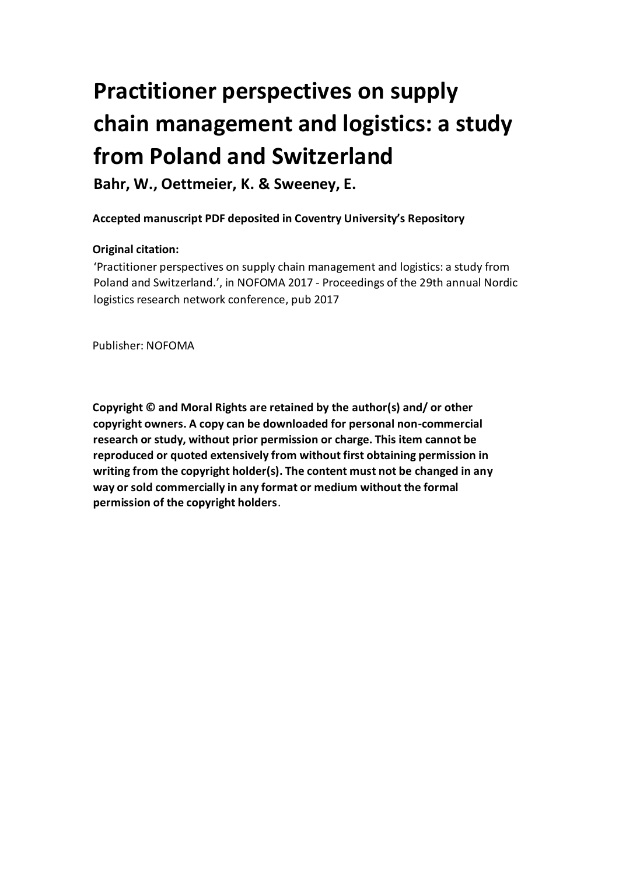# **chain management and logistics: a study Practitioner perspectives on supply from Poland and Switzerland**

 **Bahr, W., Oettmeier, K. & Sweeney, E.** 

## **Accepted manuscript PDF deposited in Coventry University's Repository**

## **Original citation:**

 'Practitioner perspectives on supply chain management and logistics: a study from Poland and Switzerland.', in NOFOMA 2017 - Proceedings of the 29th annual Nordic logistics research network conference, pub 2017

Publisher: NOFOMA

 **Copyright © and Moral Rights are retained by the author(s) and/ or other copyright owners. A copy can be downloaded for personal non-commercial research or study, without prior permission or charge. This item cannot be reproduced or quoted extensively from without first obtaining permission in writing from the copyright holder(s). The content must not be changed in any way or sold commercially in any format or medium without the formal permission of the copyright holders**.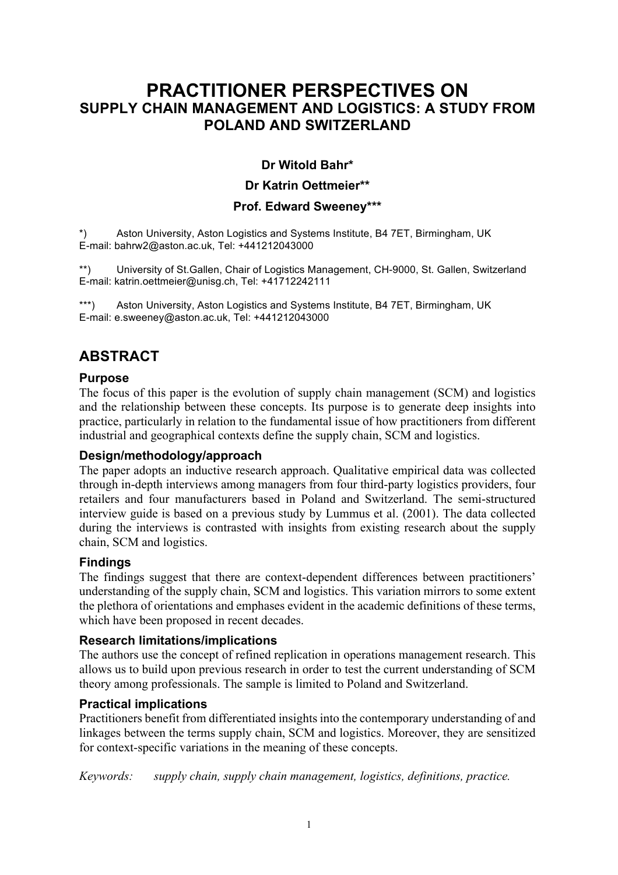# **SUPPLY CHAIN MANAGEMENT AND LOGISTICS: A STUDY FROM POLAND AND SWITZERLAND PRACTITIONER PERSPECTIVES ON**

#### **Dr Witold Bahr\***

#### **Dr Katrin Oettmeier\*\***

#### **Prof. Edward Sweeney\*\*\***

 \*) Aston University, Aston Logistics and Systems Institute, B4 7ET, Birmingham, UK E-mail: bahrw2@aston.ac.uk, Tel: +441212043000

 \*\*) University of St.Gallen, Chair of Logistics Management, CH-9000, St. Gallen, Switzerland E-mail: katrin.oettmeier@unisg.ch, Tel: +41712242111

\*\*\*) Aston University, Aston Logistics and Systems Institute, B4 7ET, Birmingham, UK E-mail: e.sweeney@aston.ac.uk, Tel: +441212043000

## **ABSTRACT**

#### **Purpose**

 The focus of this paper is the evolution of supply chain management (SCM) and logistics and the relationship between these concepts. Its purpose is to generate deep insights into practice, particularly in relation to the fundamental issue of how practitioners from different industrial and geographical contexts define the supply chain, SCM and logistics.

#### **Design/methodology/approach**

 The paper adopts an inductive research approach. Qualitative empirical data was collected through in-depth interviews among managers from four third-party logistics providers, four interview guide is based on a previous study by Lummus et al. (2001). The data collected during the interviews is contrasted with insights from existing research about the supply retailers and four manufacturers based in Poland and Switzerland. The semi-structured chain, SCM and logistics.

#### **Findings**

 The findings suggest that there are context-dependent differences between practitioners' understanding of the supply chain, SCM and logistics. This variation mirrors to some extent the plethora of orientations and emphases evident in the academic definitions of these terms, which have been proposed in recent decades.

#### **Research limitations/implications**

 The authors use the concept of refined replication in operations management research. This allows us to build upon previous research in order to test the current understanding of SCM theory among professionals. The sample is limited to Poland and Switzerland.

#### **Practical implications**

 Practitioners benefit from differentiated insights into the contemporary understanding of and linkages between the terms supply chain, SCM and logistics. Moreover, they are sensitized for context-specific variations in the meaning of these concepts.

*Keywords: supply chain, supply chain management, logistics, definitions, practice.*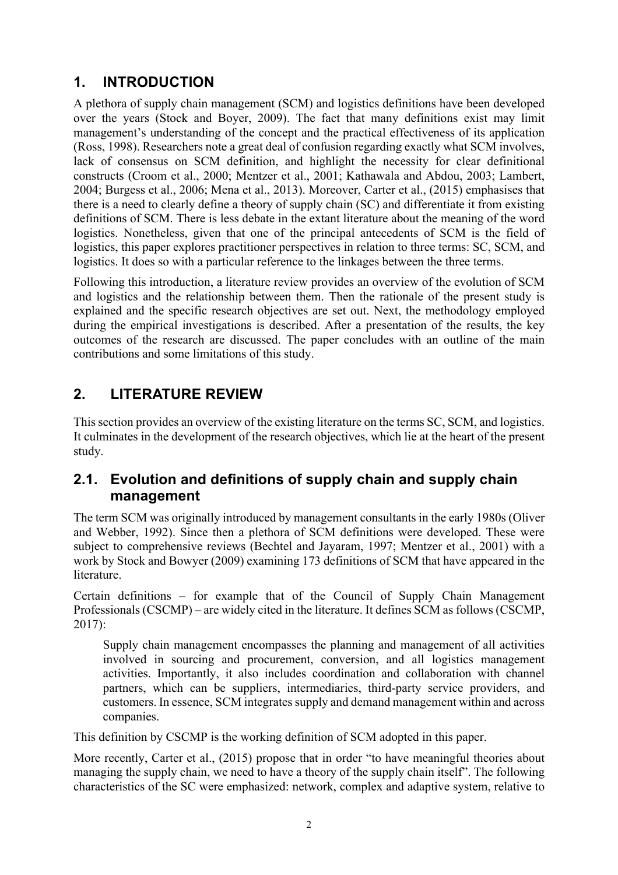# **1. INTRODUCTION**

 A plethora of supply chain management (SCM) and logistics definitions have been developed over the years (Stock and Boyer, 2009). The fact that many definitions exist may limit management's understanding of the concept and the practical effectiveness of its application (Ross, 1998). Researchers note a great deal of confusion regarding exactly what SCM involves, lack of consensus on SCM definition, and highlight the necessity for clear definitional constructs (Croom et al., 2000; Mentzer et al., 2001; Kathawala and Abdou, 2003; Lambert, 2004; Burgess et al., 2006; Mena et al., 2013). Moreover, Carter et al., (2015) emphasises that there is a need to clearly define a theory of supply chain (SC) and differentiate it from existing definitions of SCM. There is less debate in the extant literature about the meaning of the word logistics. Nonetheless, given that one of the principal antecedents of SCM is the field of logistics, this paper explores practitioner perspectives in relation to three terms: SC, SCM, and logistics. It does so with a particular reference to the linkages between the three terms.

 Following this introduction, a literature review provides an overview of the evolution of SCM and logistics and the relationship between them. Then the rationale of the present study is explained and the specific research objectives are set out. Next, the methodology employed during the empirical investigations is described. After a presentation of the results, the key outcomes of the research are discussed. The paper concludes with an outline of the main contributions and some limitations of this study.

# **2. LITERATURE REVIEW**

 This section provides an overview of the existing literature on the terms SC, SCM, and logistics. It culminates in the development of the research objectives, which lie at the heart of the present study.

## **2.1. Evolution and definitions of supply chain and supply chain management**

 The term SCM was originally introduced by management consultants in the early 1980s (Oliver and Webber, 1992). Since then a plethora of SCM definitions were developed. These were subject to comprehensive reviews (Bechtel and Jayaram, 1997; Mentzer et al., 2001) with a work by Stock and Bowyer (2009) examining 173 definitions of SCM that have appeared in the literature.

 Certain definitions – for example that of the Council of Supply Chain Management Professionals (CSCMP) – are widely cited in the literature. It defines SCM as follows (CSCMP, 2017):

 Supply chain management encompasses the planning and management of all activities involved in sourcing and procurement, conversion, and all logistics management customers. In essence, SCM integrates supply and demand management within and across activities. Importantly, it also includes coordination and collaboration with channel partners, which can be suppliers, intermediaries, third-party service providers, and companies.

This definition by CSCMP is the working definition of SCM adopted in this paper.

 More recently, Carter et al., (2015) propose that in order "to have meaningful theories about managing the supply chain, we need to have a theory of the supply chain itself". The following characteristics of the SC were emphasized: network, complex and adaptive system, relative to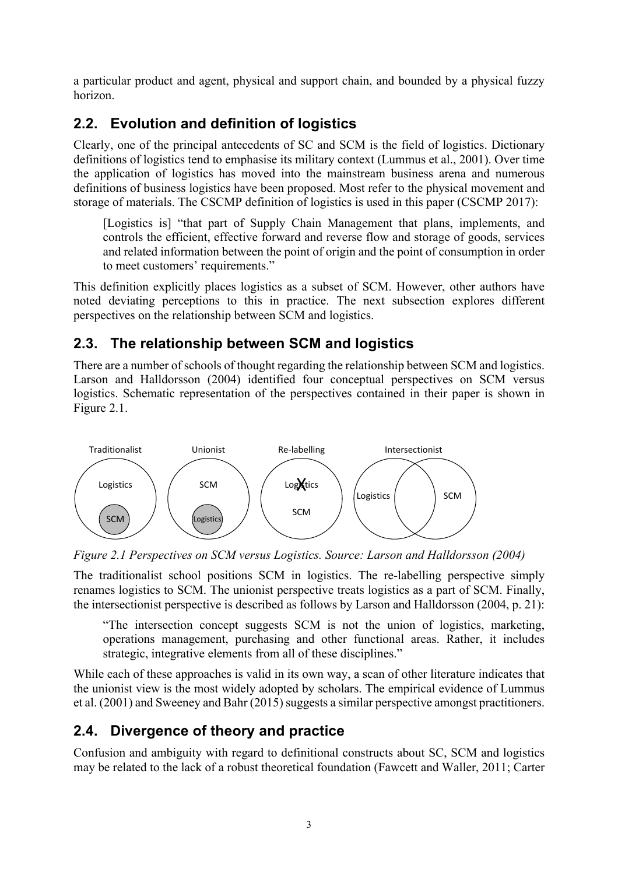a particular product and agent, physical and support chain, and bounded by a physical fuzzy horizon.

# **2.2. Evolution and definition of logistics**

 Clearly, one of the principal antecedents of SC and SCM is the field of logistics. Dictionary definitions of logistics tend to emphasise its military context (Lummus et al., 2001). Over time the application of logistics has moved into the mainstream business arena and numerous definitions of business logistics have been proposed. Most refer to the physical movement and storage of materials. The CSCMP definition of logistics is used in this paper (CSCMP 2017):

 [Logistics is] "that part of Supply Chain Management that plans, implements, and controls the efficient, effective forward and reverse flow and storage of goods, services and related information between the point of origin and the point of consumption in order to meet customers' requirements."

 This definition explicitly places logistics as a subset of SCM. However, other authors have noted deviating perceptions to this in practice. The next subsection explores different perspectives on the relationship between SCM and logistics.

## **2.3. The relationship between SCM and logistics**

 There are a number of schools of thought regarding the relationship between SCM and logistics. Larson and Halldorsson (2004) identified four conceptual perspectives on SCM versus Figure 2.1. logistics. Schematic representation of the perspectives contained in their paper is shown in



 *Figure 2.1 Perspectives on SCM versus Logistics. Source: Larson and Halldorsson (2004)* 

 The traditionalist school positions SCM in logistics. The re-labelling perspective simply renames logistics to SCM. The unionist perspective treats logistics as a part of SCM. Finally, the intersectionist perspective is described as follows by Larson and Halldorsson (2004, p. 21):

 "The intersection concept suggests SCM is not the union of logistics, marketing, operations management, purchasing and other functional areas. Rather, it includes strategic, integrative elements from all of these disciplines."

 strategic, integrative elements from all of these disciplines." While each of these approaches is valid in its own way, a scan of other literature indicates that the unionist view is the most widely adopted by scholars. The empirical evidence of Lummus et al. (2001) and Sweeney and Bahr (2015) suggests a similar perspective amongst practitioners.

# **2.4. Divergence of theory and practice**

 Confusion and ambiguity with regard to definitional constructs about SC, SCM and logistics may be related to the lack of a robust theoretical foundation (Fawcett and Waller, 2011; Carter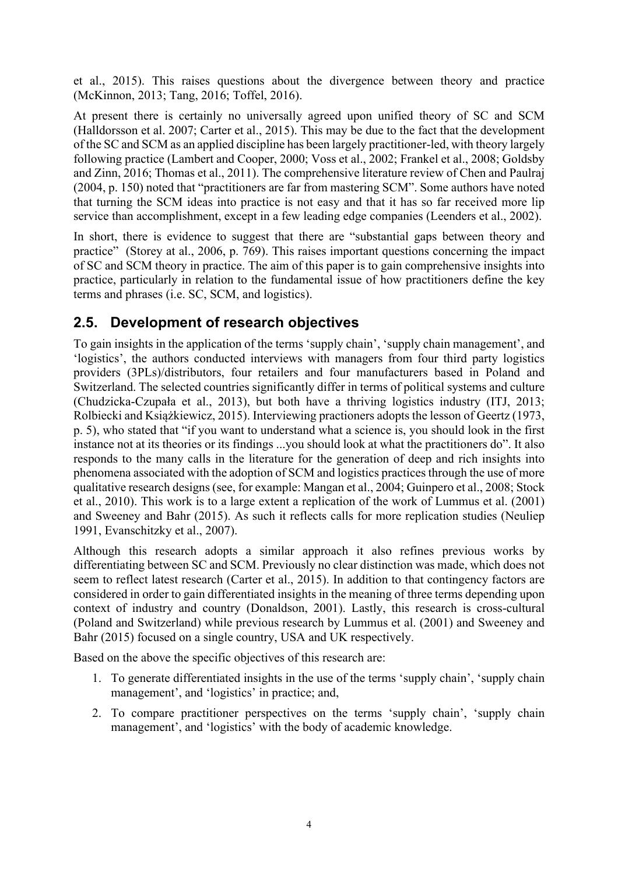et al., 2015). This raises questions about the divergence between theory and practice (McKinnon, 2013; Tang, 2016; Toffel, 2016).

 At present there is certainly no universally agreed upon unified theory of SC and SCM (Halldorsson et al. 2007; Carter et al., 2015). This may be due to the fact that the development of the SC and SCM as an applied discipline has been largely practitioner-led, with theory largely following practice (Lambert and Cooper, 2000; Voss et al., 2002; Frankel et al., 2008; Goldsby and Zinn, 2016; Thomas et al., 2011). The comprehensive literature review of Chen and Paulraj (2004, p. 150) noted that "practitioners are far from mastering SCM". Some authors have noted that turning the SCM ideas into practice is not easy and that it has so far received more lip service than accomplishment, except in a few leading edge companies (Leenders et al., 2002).

 In short, there is evidence to suggest that there are "substantial gaps between theory and practice" (Storey at al., 2006, p. 769). This raises important questions concerning the impact of SC and SCM theory in practice. The aim of this paper is to gain comprehensive insights into practice, particularly in relation to the fundamental issue of how practitioners define the key terms and phrases (i.e. SC, SCM, and logistics).

## **2.5. Development of research objectives**

 To gain insights in the application of the terms 'supply chain', 'supply chain management', and 'logistics', the authors conducted interviews with managers from four third party logistics providers (3PLs)/distributors, four retailers and four manufacturers based in Poland and Switzerland. The selected countries significantly differ in terms of political systems and culture (Chudzicka-Czupała et al., 2013), but both have a thriving logistics industry (ITJ, 2013; Rolbiecki and Książkiewicz, 2015). Interviewing practioners adopts the lesson of Geertz (1973, p. 5), who stated that "if you want to understand what a science is, you should look in the first instance not at its theories or its findings ...you should look at what the practitioners do". It also responds to the many calls in the literature for the generation of deep and rich insights into phenomena associated with the adoption of SCM and logistics practices through the use of more qualitative research designs (see, for example: Mangan et al., 2004; Guinpero et al., 2008; Stock et al., 2010). This work is to a large extent a replication of the work of Lummus et al. (2001) and Sweeney and Bahr (2015). As such it reflects calls for more replication studies (Neuliep 1991, Evanschitzky et al., 2007).

 Although this research adopts a similar approach it also refines previous works by differentiating between SC and SCM. Previously no clear distinction was made, which does not seem to reflect latest research (Carter et al., 2015). In addition to that contingency factors are considered in order to gain differentiated insights in the meaning of three terms depending upon context of industry and country (Donaldson, 2001). Lastly, this research is cross-cultural (Poland and Switzerland) while previous research by Lummus et al. (2001) and Sweeney and Bahr (2015) focused on a single country, USA and UK respectively.

Based on the above the specific objectives of this research are:

- 1. To generate differentiated insights in the use of the terms 'supply chain', 'supply chain management', and 'logistics' in practice; and,
- 2. To compare practitioner perspectives on the terms 'supply chain', 'supply chain management', and 'logistics' with the body of academic knowledge.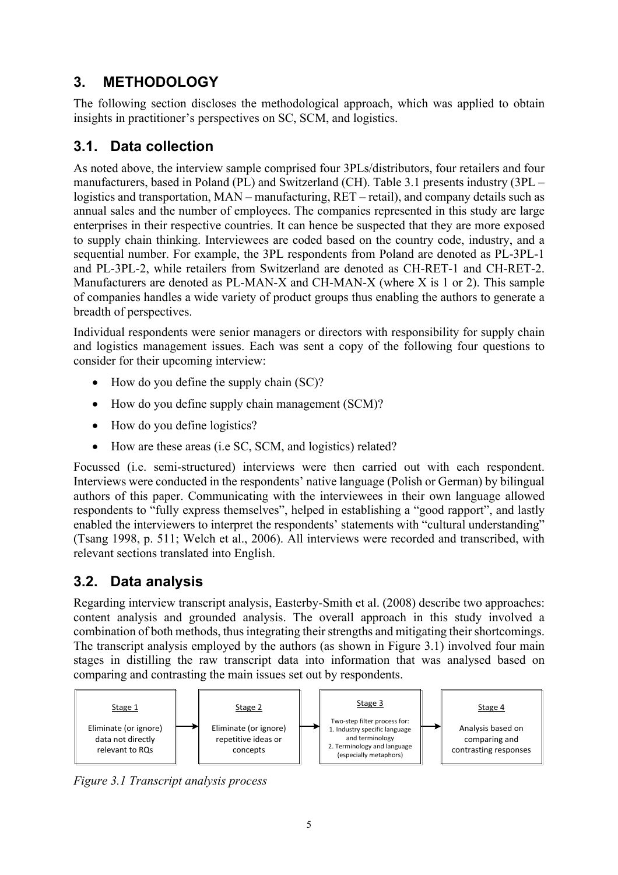# **3. METHODOLOGY**

 The following section discloses the methodological approach, which was applied to obtain insights in practitioner's perspectives on SC, SCM, and logistics.

# **3.1. Data collection**

 As noted above, the interview sample comprised four 3PLs/distributors, four retailers and four manufacturers, based in Poland (PL) and Switzerland (CH). Table 3.1 presents industry (3PL – logistics and transportation, MAN – manufacturing, RET – retail), and company details such as annual sales and the number of employees. The companies represented in this study are large enterprises in their respective countries. It can hence be suspected that they are more exposed to supply chain thinking. Interviewees are coded based on the country code, industry, and a sequential number. For example, the 3PL respondents from Poland are denoted as PL-3PL-1 and PL-3PL-2, while retailers from Switzerland are denoted as CH-RET-1 and CH-RET-2. Manufacturers are denoted as PL-MAN-X and CH-MAN-X (where X is 1 or 2). This sample of companies handles a wide variety of product groups thus enabling the authors to generate a breadth of perspectives.

 Individual respondents were senior managers or directors with responsibility for supply chain and logistics management issues. Each was sent a copy of the following four questions to consider for their upcoming interview:

- How do you define the supply chain (SC)?
- How do you define supply chain management (SCM)?
- How do you define logistics?
- How are these areas (i.e SC, SCM, and logistics) related?

 Interviews were conducted in the respondents' native language (Polish or German) by bilingual authors of this paper. Communicating with the interviewees in their own language allowed enabled the interviewers to interpret the respondents' statements with "cultural understanding" (Tsang 1998, p. 511; Welch et al., 2006). All interviews were recorded and transcribed, with Focussed (i.e. semi-structured) interviews were then carried out with each respondent. respondents to "fully express themselves", helped in establishing a "good rapport", and lastly relevant sections translated into English.

# **3.2. Data analysis**

 Regarding interview transcript analysis, Easterby-Smith et al. (2008) describe two approaches: content analysis and grounded analysis. The overall approach in this study involved a The transcript analysis employed by the authors (as shown in Figure 3.1) involved four main stages in distilling the raw transcript data into information that was analysed based on combination of both methods, thus integrating their strengths and mitigating their shortcomings. comparing and contrasting the main issues set out by respondents.



 *Figure 3.1 Transcript analysis process*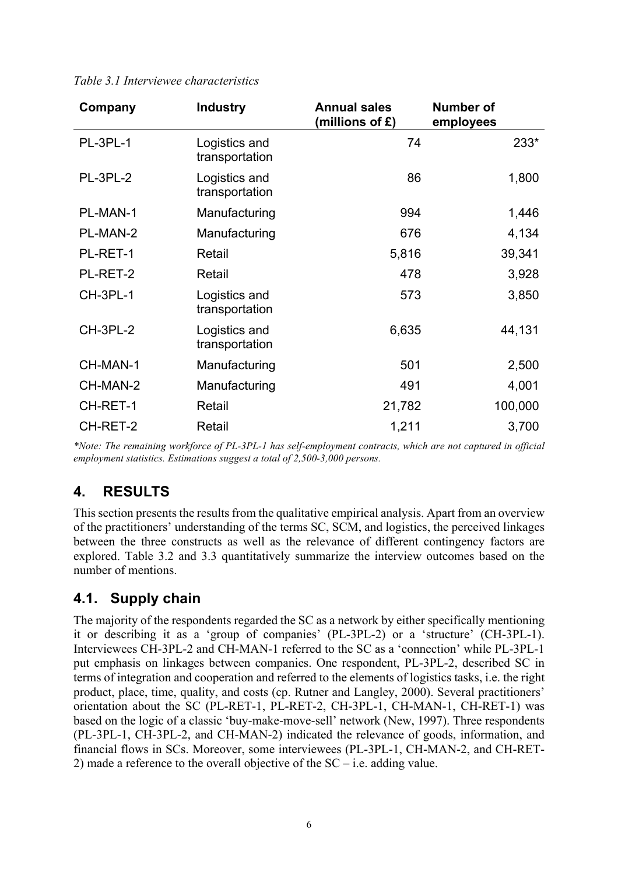| Company         | <b>Industry</b>                 | <b>Annual sales</b><br>(millions of $\hat{\mathbf{r}}$ ) | Number of<br>employees |
|-----------------|---------------------------------|----------------------------------------------------------|------------------------|
| PL-3PL-1        | Logistics and<br>transportation | 74                                                       | 233*                   |
| PL-3PL-2        | Logistics and<br>transportation | 86                                                       | 1,800                  |
| PL-MAN-1        | Manufacturing                   | 994                                                      | 1,446                  |
| PL-MAN-2        | Manufacturing                   | 676                                                      | 4,134                  |
| PL-RET-1        | Retail                          | 5,816                                                    | 39,341                 |
| PL-RET-2        | Retail                          | 478                                                      | 3,928                  |
| CH-3PL-1        | Logistics and<br>transportation | 573                                                      | 3,850                  |
| <b>CH-3PL-2</b> | Logistics and<br>transportation | 6,635                                                    | 44,131                 |
| CH-MAN-1        | Manufacturing                   | 501                                                      | 2,500                  |
| CH-MAN-2        | Manufacturing                   | 491                                                      | 4,001                  |
| CH-RET-1        | Retail                          | 21,782                                                   | 100,000                |
| CH-RET-2        | Retail                          | 1,211                                                    | 3,700                  |

 *Table 3.1 Interviewee characteristics* 

 *\*Note: The remaining workforce of PL-3PL-1 has self-employment contracts, which are not captured in official employment statistics. Estimations suggest a total of 2,500-3,000 persons.* 

# **4. RESULTS**

 This section presents the results from the qualitative empirical analysis. Apart from an overview of the practitioners' understanding of the terms SC, SCM, and logistics, the perceived linkages between the three constructs as well as the relevance of different contingency factors are explored. Table 3.2 and 3.3 quantitatively summarize the interview outcomes based on the number of mentions.

## **4.1. Supply chain**

 The majority of the respondents regarded the SC as a network by either specifically mentioning it or describing it as a 'group of companies' (PL-3PL-2) or a 'structure' (CH-3PL-1). Interviewees CH-3PL-2 and CH-MAN-1 referred to the SC as a 'connection' while PL-3PL-1 put emphasis on linkages between companies. One respondent, PL-3PL-2, described SC in terms of integration and cooperation and referred to the elements of logistics tasks, i.e. the right orientation about the SC (PL-RET-1, PL-RET-2, CH-3PL-1, CH-MAN-1, CH-RET-1) was based on the logic of a classic 'buy-make-move-sell' network (New, 1997). Three respondents (PL-3PL-1, CH-3PL-2, and CH-MAN-2) indicated the relevance of goods, information, and financial flows in SCs. Moreover, some interviewees (PL-3PL-1, CH-MAN-2, and CH-RETproduct, place, time, quality, and costs (cp. Rutner and Langley, 2000). Several practitioners' 2) made a reference to the overall objective of the SC – i.e. adding value.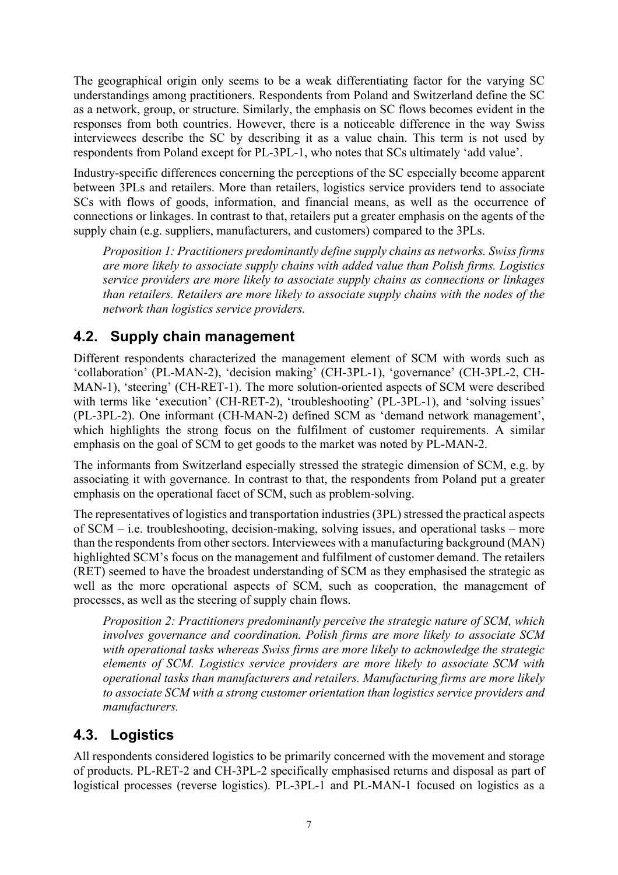The geographical origin only seems to be a weak differentiating factor for the varying SC understandings among practitioners. Respondents from Poland and Switzerland define the SC as a network, group, or structure. Similarly, the emphasis on SC flows becomes evident in the responses from both countries. However, there is a noticeable difference in the way Swiss interviewees describe the SC by describing it as a value chain. This term is not used by respondents from Poland except for PL-3PL-1, who notes that SCs ultimately 'add value'.

 Industry-specific differences concerning the perceptions of the SC especially become apparent between 3PLs and retailers. More than retailers, logistics service providers tend to associate SCs with flows of goods, information, and financial means, as well as the occurrence of connections or linkages. In contrast to that, retailers put a greater emphasis on the agents of the supply chain (e.g. suppliers, manufacturers, and customers) compared to the 3PLs.

 *Proposition 1: Practitioners predominantly define supply chains as networks. Swiss firms are more likely to associate supply chains with added value than Polish firms. Logistics service providers are more likely to associate supply chains as connections or linkages than retailers. Retailers are more likely to associate supply chains with the nodes of the network than logistics service providers.* 

# **4.2. Supply chain management**

 Different respondents characterized the management element of SCM with words such as MAN-1), 'steering' (CH-RET-1). The more solution-oriented aspects of SCM were described with terms like 'execution' (CH-RET-2), 'troubleshooting' (PL-3PL-1), and 'solving issues' (PL-3PL-2). One informant (CH-MAN-2) defined SCM as 'demand network management', which highlights the strong focus on the fulfilment of customer requirements. A similar 'collaboration' (PL-MAN-2), 'decision making' (CH-3PL-1), 'governance' (CH-3PL-2, CHemphasis on the goal of SCM to get goods to the market was noted by PL-MAN-2.

 The informants from Switzerland especially stressed the strategic dimension of SCM, e.g. by associating it with governance. In contrast to that, the respondents from Poland put a greater emphasis on the operational facet of SCM, such as problem-solving.

 The representatives of logistics and transportation industries (3PL) stressed the practical aspects of SCM – i.e. troubleshooting, decision-making, solving issues, and operational tasks – more than the respondents from other sectors. Interviewees with a manufacturing background (MAN) highlighted SCM's focus on the management and fulfilment of customer demand. The retailers (RET) seemed to have the broadest understanding of SCM as they emphasised the strategic as well as the more operational aspects of SCM, such as cooperation, the management of processes, as well as the steering of supply chain flows.

 *Proposition 2: Practitioners predominantly perceive the strategic nature of SCM, which involves governance and coordination. Polish firms are more likely to associate SCM with operational tasks whereas Swiss firms are more likely to acknowledge the strategic elements of SCM. Logistics service providers are more likely to associate SCM with operational tasks than manufacturers and retailers. Manufacturing firms are more likely to associate SCM with a strong customer orientation than logistics service providers and manufacturers.* 

## **4.3. Logistics**

 All respondents considered logistics to be primarily concerned with the movement and storage of products. PL-RET-2 and CH-3PL-2 specifically emphasised returns and disposal as part of logistical processes (reverse logistics). PL-3PL-1 and PL-MAN-1 focused on logistics as a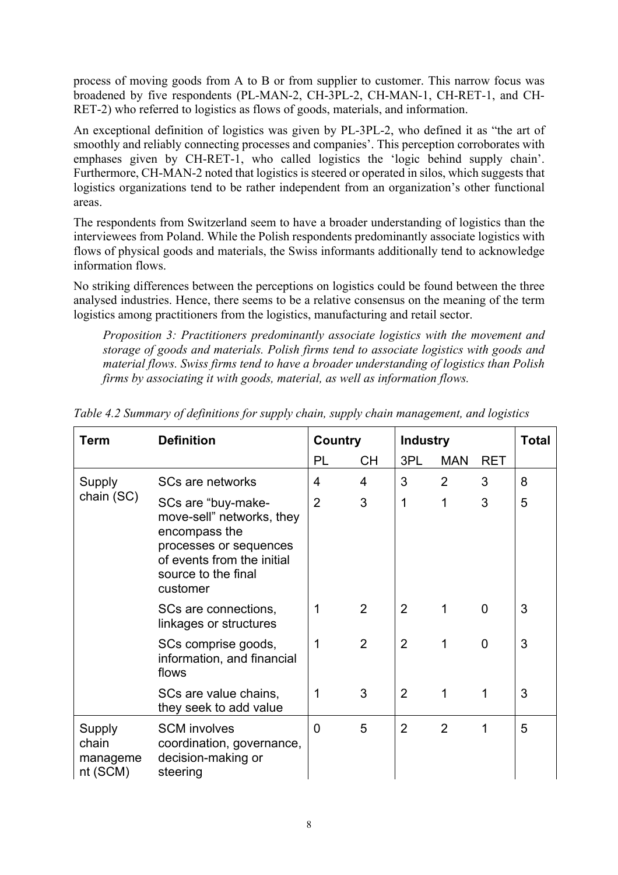process of moving goods from A to B or from supplier to customer. This narrow focus was broadened by five respondents (PL-MAN-2, CH-3PL-2, CH-MAN-1, CH-RET-1, and CH-RET-2) who referred to logistics as flows of goods, materials, and information.

 An exceptional definition of logistics was given by PL-3PL-2, who defined it as "the art of smoothly and reliably connecting processes and companies'. This perception corroborates with emphases given by CH-RET-1, who called logistics the 'logic behind supply chain'. Furthermore, CH-MAN-2 noted that logistics is steered or operated in silos, which suggests that logistics organizations tend to be rather independent from an organization's other functional areas.

 The respondents from Switzerland seem to have a broader understanding of logistics than the interviewees from Poland. While the Polish respondents predominantly associate logistics with flows of physical goods and materials, the Swiss informants additionally tend to acknowledge information flows.

 No striking differences between the perceptions on logistics could be found between the three analysed industries. Hence, there seems to be a relative consensus on the meaning of the term logistics among practitioners from the logistics, manufacturing and retail sector.

 *Proposition 3: Practitioners predominantly associate logistics with the movement and storage of goods and materials. Polish firms tend to associate logistics with goods and material flows. Swiss firms tend to have a broader understanding of logistics than Polish firms by associating it with goods, material, as well as information flows.* 

| Term                                    | <b>Definition</b>                                                                                                                                           | Country        |    | <b>Industry</b> |                |                | <b>Total</b> |
|-----------------------------------------|-------------------------------------------------------------------------------------------------------------------------------------------------------------|----------------|----|-----------------|----------------|----------------|--------------|
|                                         |                                                                                                                                                             | PL             | СH | 3PL             | <b>MAN</b>     | <b>RET</b>     |              |
| Supply<br>chain (SC)                    | SCs are networks                                                                                                                                            | 4              | 4  | 3               | 2              | 3              | 8            |
|                                         | SCs are "buy-make-<br>move-sell" networks, they<br>encompass the<br>processes or sequences<br>of events from the initial<br>source to the final<br>customer | $\overline{2}$ | 3  | 1               | 1              | 3              | 5            |
|                                         | SCs are connections,<br>linkages or structures                                                                                                              | 1              | 2  | $\overline{2}$  | 1              | $\overline{0}$ | 3            |
|                                         | SCs comprise goods,<br>information, and financial<br>flows                                                                                                  | 1              | 2  | $\overline{2}$  | 1              | $\overline{0}$ | 3            |
|                                         | SCs are value chains,<br>they seek to add value                                                                                                             | 1              | 3  | $\overline{2}$  | 1              | 1              | 3            |
| Supply<br>chain<br>manageme<br>nt (SCM) | <b>SCM</b> involves<br>coordination, governance,<br>decision-making or<br>steering                                                                          | $\overline{0}$ | 5  | $\overline{2}$  | $\overline{2}$ | 1              | 5            |

 *Table 4.2 Summary of definitions for supply chain, supply chain management, and logistics*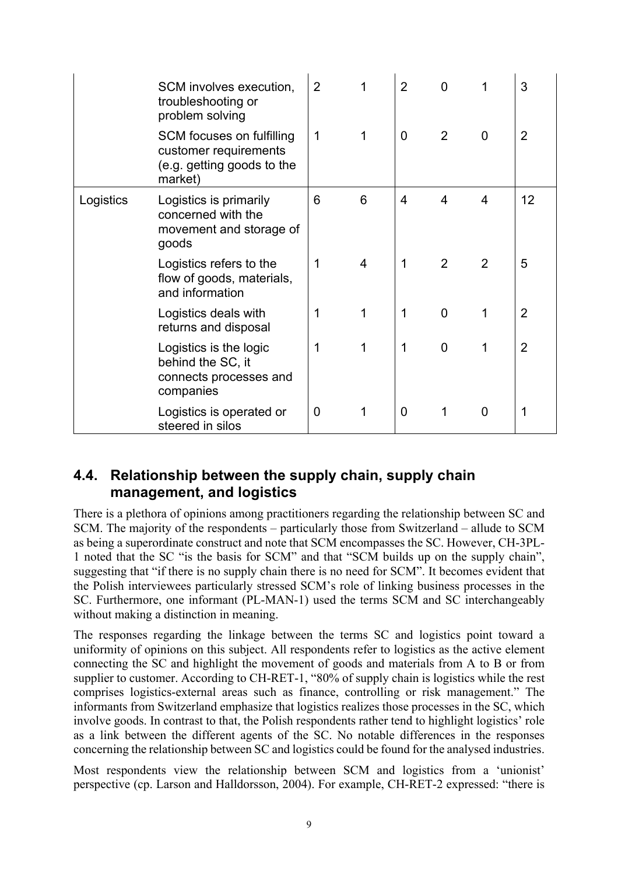|           | SCM involves execution,<br>troubleshooting or<br>problem solving                            | $\overline{2}$ |   | $\overline{2}$ | 0              |                | 3              |
|-----------|---------------------------------------------------------------------------------------------|----------------|---|----------------|----------------|----------------|----------------|
|           | SCM focuses on fulfilling<br>customer requirements<br>(e.g. getting goods to the<br>market) | 1              |   | $\overline{0}$ | $\overline{2}$ | 0              | 2              |
| Logistics | Logistics is primarily<br>concerned with the<br>movement and storage of<br>goods            | 6              | 6 | 4              | $\overline{4}$ | 4              | 12             |
|           | Logistics refers to the<br>flow of goods, materials,<br>and information                     | 1              | 4 | 1              | 2              | $\overline{2}$ | 5              |
|           | Logistics deals with<br>returns and disposal                                                | 1              | 1 | 1              | $\Omega$       | 1              | $\overline{2}$ |
|           | Logistics is the logic<br>behind the SC, it<br>connects processes and<br>companies          | 1              |   | 1              | $\overline{0}$ | 1              | 2              |
|           | Logistics is operated or<br>steered in silos                                                | $\mathbf 0$    |   | 0              |                | 0              | 1              |

## **4.4. Relationship between the supply chain, supply chain management, and logistics**

 There is a plethora of opinions among practitioners regarding the relationship between SC and SCM. The majority of the respondents – particularly those from Switzerland – allude to SCM as being a superordinate construct and note that SCM encompasses the SC. However, CH-3PL- 1 noted that the SC "is the basis for SCM" and that "SCM builds up on the supply chain", suggesting that "if there is no supply chain there is no need for SCM". It becomes evident that the Polish interviewees particularly stressed SCM's role of linking business processes in the SC. Furthermore, one informant (PL-MAN-1) used the terms SCM and SC interchangeably without making a distinction in meaning.

 The responses regarding the linkage between the terms SC and logistics point toward a uniformity of opinions on this subject. All respondents refer to logistics as the active element connecting the SC and highlight the movement of goods and materials from A to B or from supplier to customer. According to CH-RET-1, "80% of supply chain is logistics while the rest comprises logistics-external areas such as finance, controlling or risk management." The informants from Switzerland emphasize that logistics realizes those processes in the SC, which involve goods. In contrast to that, the Polish respondents rather tend to highlight logistics' role as a link between the different agents of the SC. No notable differences in the responses concerning the relationship between SC and logistics could be found for the analysed industries.

 Most respondents view the relationship between SCM and logistics from a 'unionist' perspective (cp. Larson and Halldorsson, 2004). For example, CH-RET-2 expressed: "there is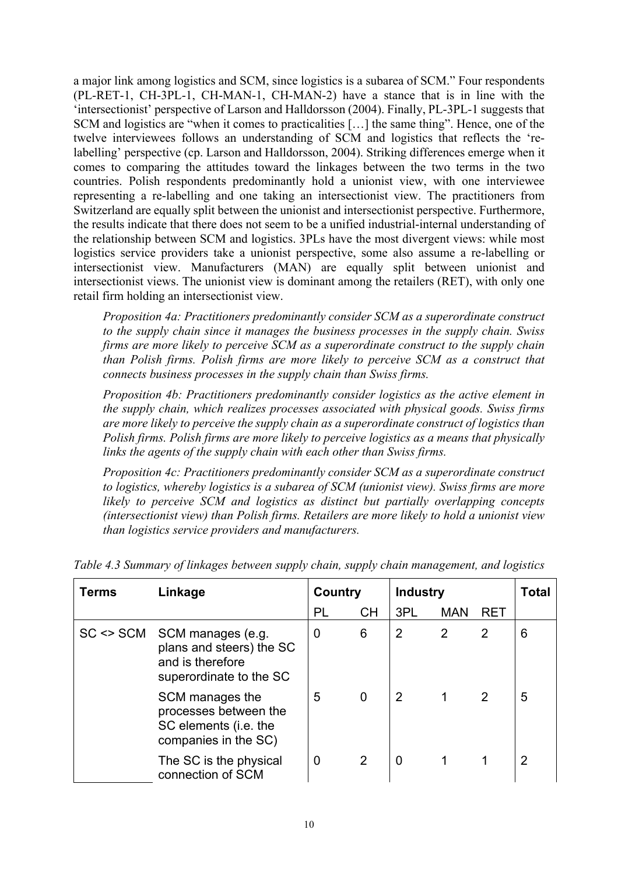a major link among logistics and SCM, since logistics is a subarea of SCM." Four respondents (PL-RET-1, CH-3PL-1, CH-MAN-1, CH-MAN-2) have a stance that is in line with the 'intersectionist' perspective of Larson and Halldorsson (2004). Finally, PL-3PL-1 suggests that SCM and logistics are "when it comes to practicalities […] the same thing". Hence, one of the twelve interviewees follows an understanding of SCM and logistics that reflects the 're- labelling' perspective (cp. Larson and Halldorsson, 2004). Striking differences emerge when it comes to comparing the attitudes toward the linkages between the two terms in the two countries. Polish respondents predominantly hold a unionist view, with one interviewee representing a re-labelling and one taking an intersectionist view. The practitioners from Switzerland are equally split between the unionist and intersectionist perspective. Furthermore, the results indicate that there does not seem to be a unified industrial-internal understanding of the relationship between SCM and logistics. 3PLs have the most divergent views: while most logistics service providers take a unionist perspective, some also assume a re-labelling or intersectionist views. The unionist view is dominant among the retailers (RET), with only one retail firm holding an intersectionist view. intersectionist view. Manufacturers (MAN) are equally split between unionist and

 *Proposition 4a: Practitioners predominantly consider SCM as a superordinate construct to the supply chain since it manages the business processes in the supply chain. Swiss firms are more likely to perceive SCM as a superordinate construct to the supply chain than Polish firms. Polish firms are more likely to perceive SCM as a construct that connects business processes in the supply chain than Swiss firms.* 

 *Proposition 4b: Practitioners predominantly consider logistics as the active element in the supply chain, which realizes processes associated with physical goods. Swiss firms are more likely to perceive the supply chain as a superordinate construct of logistics than Polish firms. Polish firms are more likely to perceive logistics as a means that physically links the agents of the supply chain with each other than Swiss firms.* 

 *Proposition 4c: Practitioners predominantly consider SCM as a superordinate construct to logistics, whereby logistics is a subarea of SCM (unionist view). Swiss firms are more*  likely to perceive SCM and logistics as distinct but partially overlapping concepts  *(intersectionist view) than Polish firms. Retailers are more likely to hold a unionist view than logistics service providers and manufacturers.* 

| Terms         | Linkage                                                                                      | Country |                | <b>Industry</b> |            |                | Total          |
|---------------|----------------------------------------------------------------------------------------------|---------|----------------|-----------------|------------|----------------|----------------|
|               |                                                                                              | PL      | <b>CH</b>      | 3PL             | <b>MAN</b> | <b>RET</b>     |                |
| $SC \leq SCM$ | SCM manages (e.g.<br>plans and steers) the SC<br>and is therefore<br>superordinate to the SC | 0       | 6              | $\overline{2}$  | 2          | $\overline{2}$ | 6              |
|               | SCM manages the<br>processes between the<br>SC elements (i.e. the<br>companies in the SC)    | 5       | $\Omega$       | 2               | 1          | 2              | 5              |
|               | The SC is the physical<br>connection of SCM                                                  | 0       | $\overline{2}$ | $\Omega$        |            |                | $\overline{2}$ |

 *Table 4.3 Summary of linkages between supply chain, supply chain management, and logistics*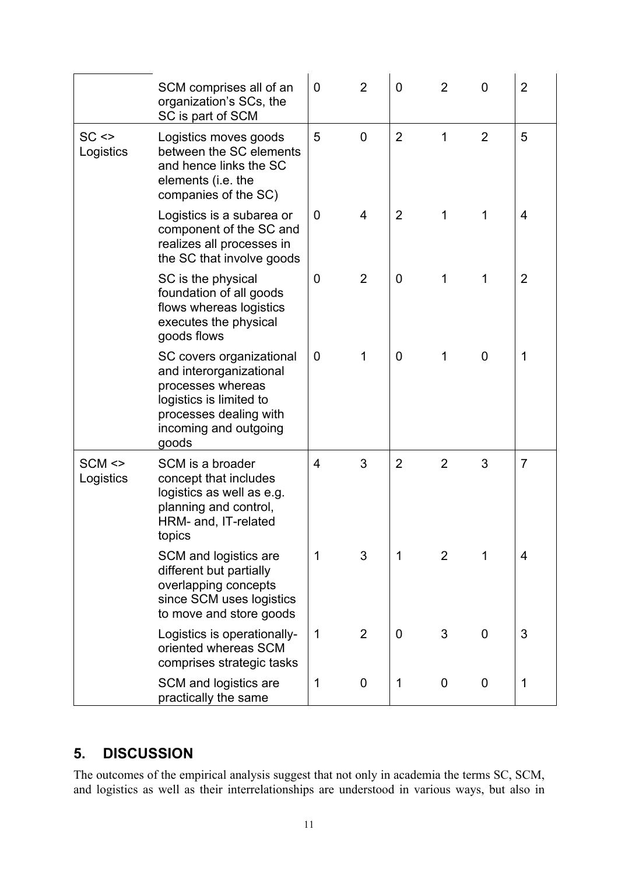|                         | SCM comprises all of an<br>organization's SCs, the<br>SC is part of SCM                                                                                         | $\overline{0}$ | $\overline{2}$ | $\overline{0}$ | $\overline{2}$ | $\overline{0}$ | $\overline{2}$ |
|-------------------------|-----------------------------------------------------------------------------------------------------------------------------------------------------------------|----------------|----------------|----------------|----------------|----------------|----------------|
| $SC \leq$<br>Logistics  | Logistics moves goods<br>between the SC elements<br>and hence links the SC<br>elements (i.e. the<br>companies of the SC)                                        | 5              | $\overline{0}$ | $\overline{2}$ | $\mathbf{1}$   | $\overline{2}$ | 5              |
|                         | Logistics is a subarea or<br>component of the SC and<br>realizes all processes in<br>the SC that involve goods                                                  | $\mathbf 0$    | $\overline{4}$ | $\overline{2}$ | 1              | 1              | $\overline{4}$ |
|                         | SC is the physical<br>foundation of all goods<br>flows whereas logistics<br>executes the physical<br>goods flows                                                | 0              | $\overline{2}$ | $\overline{0}$ | 1              | 1              | 2              |
|                         | SC covers organizational<br>and interorganizational<br>processes whereas<br>logistics is limited to<br>processes dealing with<br>incoming and outgoing<br>goods | $\overline{0}$ | $\mathbf 1$    | $\overline{0}$ | 1              | $\mathbf 0$    | 1              |
| $SCM \ll $<br>Logistics | SCM is a broader<br>concept that includes<br>logistics as well as e.g.<br>planning and control,<br>HRM- and, IT-related<br>topics                               | 4              | 3              | $\overline{2}$ | $\overline{2}$ | 3              | $\overline{7}$ |
|                         | SCM and logistics are<br>different but partially<br>overlapping concepts<br>since SCM uses logistics<br>to move and store goods                                 | $\mathbf 1$    | 3              | 1              | 2              | 1              | $\overline{4}$ |
|                         | Logistics is operationally-<br>oriented whereas SCM<br>comprises strategic tasks                                                                                | $\mathbf 1$    | $\overline{2}$ | $\overline{0}$ | 3              | $\overline{0}$ | 3              |
|                         | SCM and logistics are<br>practically the same                                                                                                                   | $\mathbf 1$    | $\mathbf 0$    | 1              | $\mathbf 0$    | $\mathbf 0$    | 1              |

# **5. DISCUSSION**

The outcomes of the empirical analysis suggest that not only in academia the terms SC, SCM, and logistics as well as their interrelationships are understood in various ways, but also in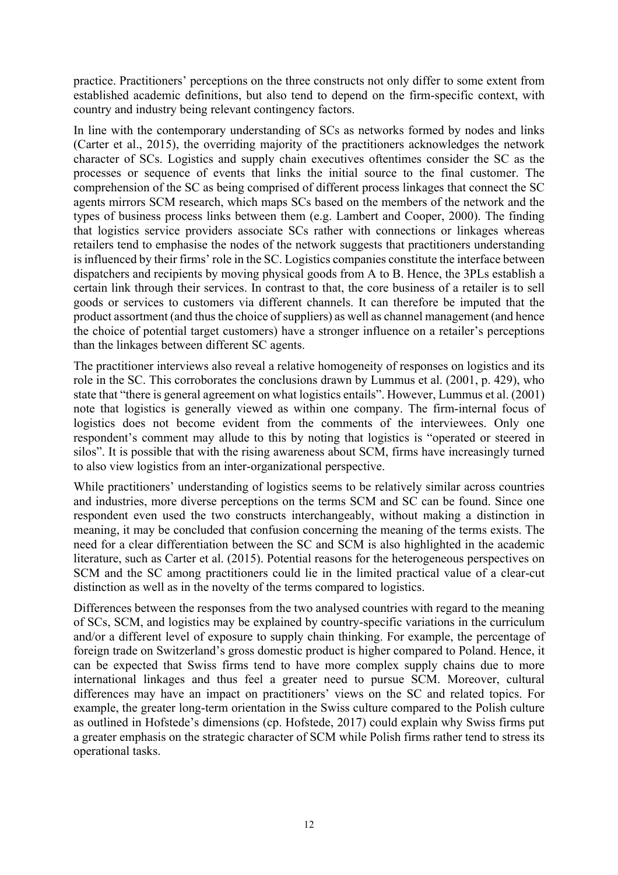practice. Practitioners' perceptions on the three constructs not only differ to some extent from established academic definitions, but also tend to depend on the firm-specific context, with country and industry being relevant contingency factors.

 In line with the contemporary understanding of SCs as networks formed by nodes and links (Carter et al., 2015), the overriding majority of the practitioners acknowledges the network character of SCs. Logistics and supply chain executives oftentimes consider the SC as the processes or sequence of events that links the initial source to the final customer. The comprehension of the SC as being comprised of different process linkages that connect the SC agents mirrors SCM research, which maps SCs based on the members of the network and the types of business process links between them (e.g. Lambert and Cooper, 2000). The finding that logistics service providers associate SCs rather with connections or linkages whereas retailers tend to emphasise the nodes of the network suggests that practitioners understanding is influenced by their firms' role in the SC. Logistics companies constitute the interface between dispatchers and recipients by moving physical goods from A to B. Hence, the 3PLs establish a certain link through their services. In contrast to that, the core business of a retailer is to sell goods or services to customers via different channels. It can therefore be imputed that the product assortment (and thus the choice of suppliers) as well as channel management (and hence the choice of potential target customers) have a stronger influence on a retailer's perceptions than the linkages between different SC agents.

 The practitioner interviews also reveal a relative homogeneity of responses on logistics and its role in the SC. This corroborates the conclusions drawn by Lummus et al. (2001, p. 429), who state that "there is general agreement on what logistics entails". However, Lummus et al. (2001) note that logistics is generally viewed as within one company. The firm-internal focus of logistics does not become evident from the comments of the interviewees. Only one respondent's comment may allude to this by noting that logistics is "operated or steered in silos". It is possible that with the rising awareness about SCM, firms have increasingly turned to also view logistics from an inter-organizational perspective.

 While practitioners' understanding of logistics seems to be relatively similar across countries and industries, more diverse perceptions on the terms SCM and SC can be found. Since one respondent even used the two constructs interchangeably, without making a distinction in meaning, it may be concluded that confusion concerning the meaning of the terms exists. The need for a clear differentiation between the SC and SCM is also highlighted in the academic literature, such as Carter et al. (2015). Potential reasons for the heterogeneous perspectives on SCM and the SC among practitioners could lie in the limited practical value of a clear-cut distinction as well as in the novelty of the terms compared to logistics.

 Differences between the responses from the two analysed countries with regard to the meaning of SCs, SCM, and logistics may be explained by country-specific variations in the curriculum and/or a different level of exposure to supply chain thinking. For example, the percentage of foreign trade on Switzerland's gross domestic product is higher compared to Poland. Hence, it can be expected that Swiss firms tend to have more complex supply chains due to more international linkages and thus feel a greater need to pursue SCM. Moreover, cultural differences may have an impact on practitioners' views on the SC and related topics. For example, the greater long-term orientation in the Swiss culture compared to the Polish culture as outlined in Hofstede's dimensions (cp. Hofstede, 2017) could explain why Swiss firms put a greater emphasis on the strategic character of SCM while Polish firms rather tend to stress its operational tasks.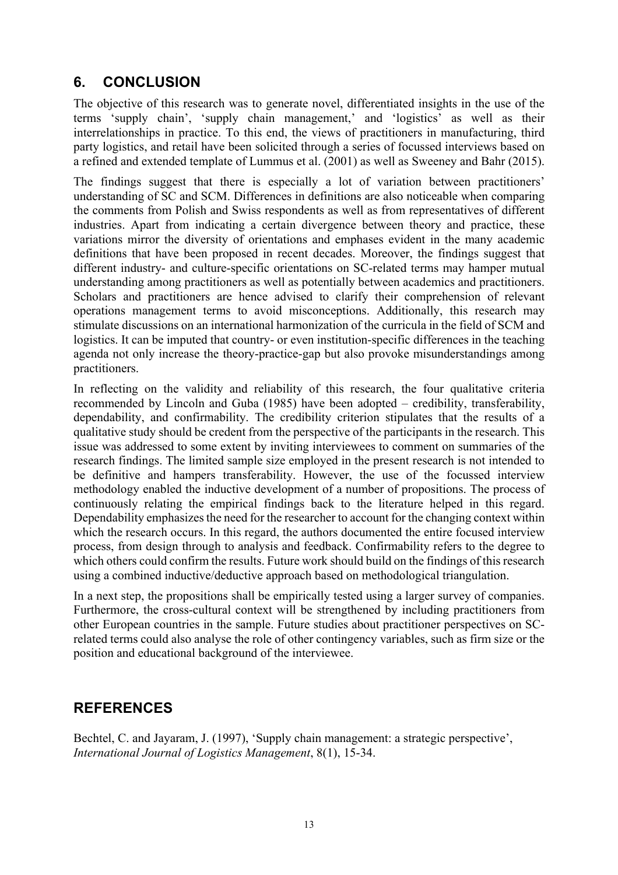# **6. CONCLUSION**

 The objective of this research was to generate novel, differentiated insights in the use of the terms 'supply chain', 'supply chain management,' and 'logistics' as well as their interrelationships in practice. To this end, the views of practitioners in manufacturing, third party logistics, and retail have been solicited through a series of focussed interviews based on a refined and extended template of Lummus et al. (2001) as well as Sweeney and Bahr (2015).

 The findings suggest that there is especially a lot of variation between practitioners' understanding of SC and SCM. Differences in definitions are also noticeable when comparing the comments from Polish and Swiss respondents as well as from representatives of different industries. Apart from indicating a certain divergence between theory and practice, these variations mirror the diversity of orientations and emphases evident in the many academic definitions that have been proposed in recent decades. Moreover, the findings suggest that different industry- and culture-specific orientations on SC-related terms may hamper mutual understanding among practitioners as well as potentially between academics and practitioners. Scholars and practitioners are hence advised to clarify their comprehension of relevant operations management terms to avoid misconceptions. Additionally, this research may stimulate discussions on an international harmonization of the curricula in the field of SCM and logistics. It can be imputed that country- or even institution-specific differences in the teaching agenda not only increase the theory-practice-gap but also provoke misunderstandings among practitioners.

 In reflecting on the validity and reliability of this research, the four qualitative criteria dependability, and confirmability. The credibility criterion stipulates that the results of a qualitative study should be credent from the perspective of the participants in the research. This issue was addressed to some extent by inviting interviewees to comment on summaries of the research findings. The limited sample size employed in the present research is not intended to be definitive and hampers transferability. However, the use of the focussed interview methodology enabled the inductive development of a number of propositions. The process of continuously relating the empirical findings back to the literature helped in this regard. Dependability emphasizes the need for the researcher to account for the changing context within which the research occurs. In this regard, the authors documented the entire focused interview process, from design through to analysis and feedback. Confirmability refers to the degree to which others could confirm the results. Future work should build on the findings of this research using a combined inductive/deductive approach based on methodological triangulation. recommended by Lincoln and Guba (1985) have been adopted – credibility, transferability,

 using a combined inductive/deductive approach based on methodological triangulation. In a next step, the propositions shall be empirically tested using a larger survey of companies. Furthermore, the cross-cultural context will be strengthened by including practitioners from other European countries in the sample. Future studies about practitioner perspectives on SC- related terms could also analyse the role of other contingency variables, such as firm size or the position and educational background of the interviewee.

## **REFERENCES**

Bechtel, C. and Jayaram, J. (1997), 'Supply chain management: a strategic perspective', *International Journal of Logistics Management*, 8(1), 15-34.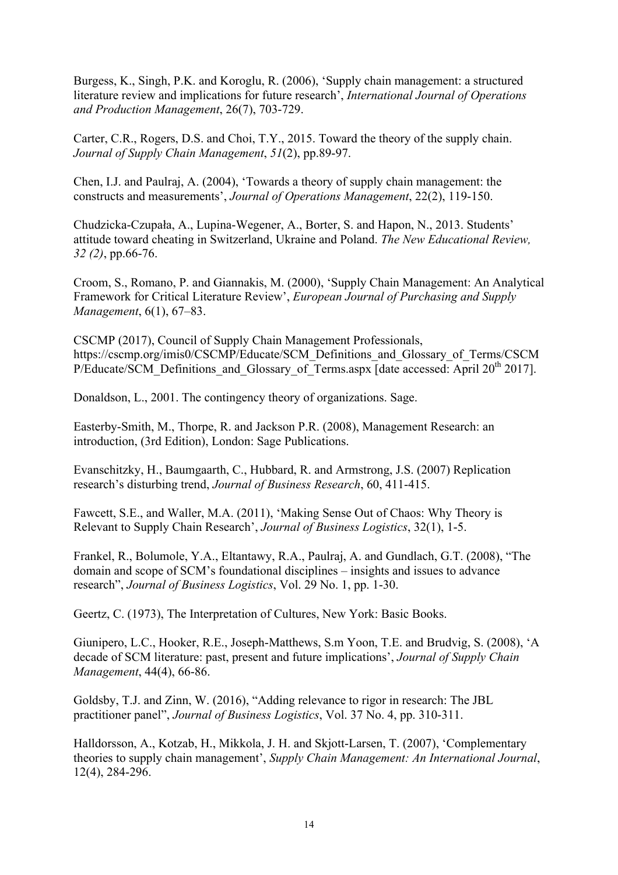Burgess, K., Singh, P.K. and Koroglu, R. (2006), 'Supply chain management: a structured literature review and implications for future research', *International Journal of Operations and Production Management*, 26(7), 703-729.

Carter, C.R., Rogers, D.S. and Choi, T.Y., 2015. Toward the theory of the supply chain. *Journal of Supply Chain Management*, *51*(2), pp.89-97.

Chen, I.J. and Paulraj, A. (2004), 'Towards a theory of supply chain management: the constructs and measurements', *Journal of Operations Management*, 22(2), 119-150.

Chudzicka-Czupała, A., Lupina-Wegener, A., Borter, S. and Hapon, N., 2013. Students' attitude toward cheating in Switzerland, Ukraine and Poland. *The New Educational Review, 32 (2)*, pp.66-76.

Croom, S., Romano, P. and Giannakis, M. (2000), 'Supply Chain Management: An Analytical Framework for Critical Literature Review', *European Journal of Purchasing and Supply Management*, 6(1), 67–83.

P/Educate/SCM\_Definitions\_and\_Glossary\_of\_Terms.aspx  $\overline{\left| \right|}$  date accessed: April 20<sup>th</sup> 2017]. CSCMP (2017), Council of Supply Chain Management Professionals, https://cscmp.org/imis0/CSCMP/Educate/SCM\_Definitions\_and\_Glossary\_of\_Terms/CSCM

Donaldson, L., 2001. The contingency theory of organizations. Sage.

Easterby-Smith, M., Thorpe, R. and Jackson P.R. (2008), Management Research: an introduction, (3rd Edition), London: Sage Publications.

Evanschitzky, H., Baumgaarth, C., Hubbard, R. and Armstrong, J.S. (2007) Replication research's disturbing trend, *Journal of Business Research*, 60, 411-415.

Fawcett, S.E., and Waller, M.A. (2011), 'Making Sense Out of Chaos: Why Theory is Relevant to Supply Chain Research', *Journal of Business Logistics*, 32(1), 1-5.

 domain and scope of SCM's foundational disciplines – insights and issues to advance Frankel, R., Bolumole, Y.A., Eltantawy, R.A., Paulraj, A. and Gundlach, G.T. (2008), "The research", *Journal of Business Logistics*, Vol. 29 No. 1, pp. 1-30.

Geertz, C. (1973), The Interpretation of Cultures, New York: Basic Books.

Giunipero, L.C., Hooker, R.E., Joseph-Matthews, S.m Yoon, T.E. and Brudvig, S. (2008), 'A decade of SCM literature: past, present and future implications', *Journal of Supply Chain Management*, 44(4), 66-86.

Goldsby, T.J. and Zinn, W. (2016), "Adding relevance to rigor in research: The JBL practitioner panel", *Journal of Business Logistics*, Vol. 37 No. 4, pp. 310-311.

Halldorsson, A., Kotzab, H., Mikkola, J. H. and Skjott-Larsen, T. (2007), 'Complementary theories to supply chain management', *Supply Chain Management: An International Journal*, 12(4), 284-296.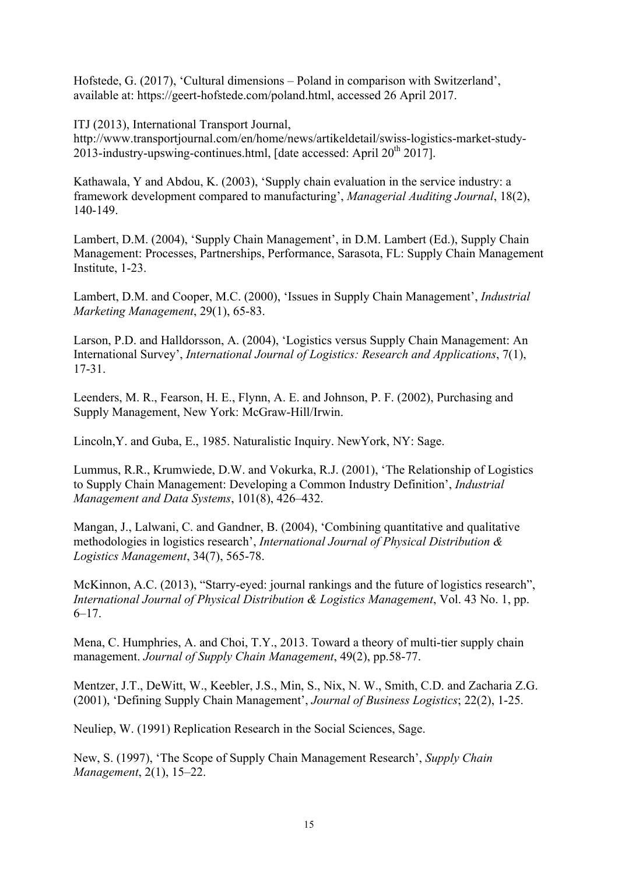Hofstede, G. (2017), 'Cultural dimensions – Poland in comparison with Switzerland', available at: https://geert-hofstede.com/poland.html, accessed 26 April 2017.

ITJ (2013), International Transport Journal,

2013-industry-upswing-continues.html, [date accessed: April 20<sup>th</sup> 2017]. http://www.transportjournal.com/en/home/news/artikeldetail/swiss-logistics-market-study-

Kathawala, Y and Abdou, K. (2003), 'Supply chain evaluation in the service industry: a framework development compared to manufacturing', *Managerial Auditing Journal*, 18(2), 140-149.

Lambert, D.M. (2004), 'Supply Chain Management', in D.M. Lambert (Ed.), Supply Chain Management: Processes, Partnerships, Performance, Sarasota, FL: Supply Chain Management Institute, 1-23.

Lambert, D.M. and Cooper, M.C. (2000), 'Issues in Supply Chain Management', *Industrial Marketing Management*, 29(1), 65-83.

Larson, P.D. and Halldorsson, A. (2004), 'Logistics versus Supply Chain Management: An International Survey', *International Journal of Logistics: Research and Applications*, 7(1), 17-31.

Leenders, M. R., Fearson, H. E., Flynn, A. E. and Johnson, P. F. (2002), Purchasing and Supply Management, New York: McGraw-Hill/Irwin.

Lincoln,Y. and Guba, E., 1985. Naturalistic Inquiry. NewYork, NY: Sage.

Lummus, R.R., Krumwiede, D.W. and Vokurka, R.J. (2001), 'The Relationship of Logistics to Supply Chain Management: Developing a Common Industry Definition', *Industrial Management and Data Systems*, 101(8), 426–432.

Mangan, J., Lalwani, C. and Gandner, B. (2004), 'Combining quantitative and qualitative methodologies in logistics research', *International Journal of Physical Distribution & Logistics Management*, 34(7), 565-78.

McKinnon, A.C. (2013), "Starry-eyed: journal rankings and the future of logistics research", *International Journal of Physical Distribution & Logistics Management*, Vol. 43 No. 1, pp.  $6-17.$ 

Mena, C. Humphries, A. and Choi, T.Y., 2013. Toward a theory of multi-tier supply chain management. *Journal of Supply Chain Management*, 49(2), pp.58-77.

Mentzer, J.T., DeWitt, W., Keebler, J.S., Min, S., Nix, N. W., Smith, C.D. and Zacharia Z.G. (2001), 'Defining Supply Chain Management', *Journal of Business Logistics*; 22(2), 1-25.

Neuliep, W. (1991) Replication Research in the Social Sciences, Sage.

New, S. (1997), 'The Scope of Supply Chain Management Research', *Supply Chain Management*, 2(1), 15–22.